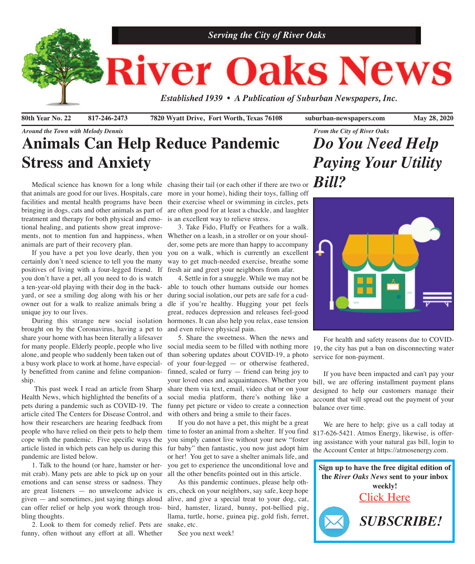

**80th Year No. 22 817-246-2473 7820 Wyatt Drive, Fort Worth, Texas 76108 suburban-newspapers.com May 28, 2020**

## *Around the Town with Melody Dennis* **Animals Can Help Reduce Pandemic Stress and Anxiety**

Medical science has known for a long while chasing their tail (or each other if there are two or  $Bill$ ? bringing in dogs, cats and other animals as part of treatment and therapy for both physical and emotional healing, and patients show great improveanimals are part of their recovery plan.

 If you have a pet you love dearly, then you certainly don't need science to tell you the many positives of living with a four-legged friend. If you don't have a pet, all you need to do is watch a ten-year-old playing with their dog in the backyard, or see a smiling dog along with his or her during social isolation, our pets are safe for a cudowner out for a walk to realize animals bring a dle if you're healthy. Hugging your pet feels unique joy to our lives.

brought on by the Coronavirus, having a pet to and even relieve physical pain. share your home with has been literally a lifesaver for many people. Elderly people, people who live social media seem to be filled with nothing more alone, and people who suddenly been taken out of a busy work place to work at home, have especially benefitted from canine and feline companionship.

pets during a pandemic such as COVID-19. The article cited The Centers for Disease Control, and how their researchers are hearing feedback from people who have relied on their pets to help them time to foster an animal from a shelter. If you find cope with the pandemic. Five specific ways the article listed in which pets can help us during this fur baby" then fantastic, you now just adopt him pandemic are listed below.

 1. Talk to the hound (or hare, hamster or hermit crab). Many pets are able to pick up on your all the other benefits pointed out in this article. emotions and can sense stress or sadness. They are great listeners — no unwelcome advice is ers, check on your neighbors, say safe, keep hope given — and sometimes, just saying things aloud can offer relief or help you work through troubling thoughts.

 2. Look to them for comedy relief. Pets are snake, etc. funny, often without any effort at all. Whether

that animals are good for our lives. Hospitals, care more in your home), hiding their toys, falling off facilities and mental health programs have been their exercise wheel or swimming in circles, pets are often good for at least a chuckle, and laughter is an excellent way to relieve stress.

ments, not to mention fun and happiness, when Whether on a leash, in a stroller or on your shoul- 3. Take Fido, Fluffy or Feathers for a walk. der, some pets are more than happy to accompany you on a walk, which is currently an excellent way to get much-needed exercise, breathe some fresh air and greet your neighbors from afar.

 During this strange new social isolation hormones. It can also help you relax, ease tension 4. Settle in for a snuggle. While we may not be able to touch other humans outside our homes great, reduces depression and releases feel-good

 This past week I read an article from Sharp share them via text, email, video chat or on your Health News, which highlighted the benefits of a social media platform, there's nothing like a 5. Share the sweetness. When the news and than sobering updates about COVID-19, a photo of your four-legged — or otherwise feathered, finned, scaled or furry — friend can bring joy to your loved ones and acquaintances. Whether you funny pet picture or video to create a connection with others and bring a smile to their faces.

> If you do not have a pet, this might be a great you simply cannot live without your new "foster or her! You get to save a shelter animals life, and you get to experience the unconditional love and

> As this pandemic continues, please help othalive, and give a special treat to your dog, cat, bird, hamster, lizard, bunny, pot-bellied pig, llama, turtle, horse, guinea pig, gold fish, ferret,

See you next week!

# *From the City of River Oaks Do You Need Help Paying Your Utility*



 For health and safety reasons due to COVID-19, the city has put a ban on disconnecting water service for non-payment.

 If you have been impacted and can't pay your bill, we are offering installment payment plans designed to help our customers manage their account that will spread out the payment of your balance over time.

 We are here to help; give us a call today at 817-626-5421. Atmos Energy, likewise, is offering assistance with your natural gas bill, login to the Account Center at https://atmosenergy.com.

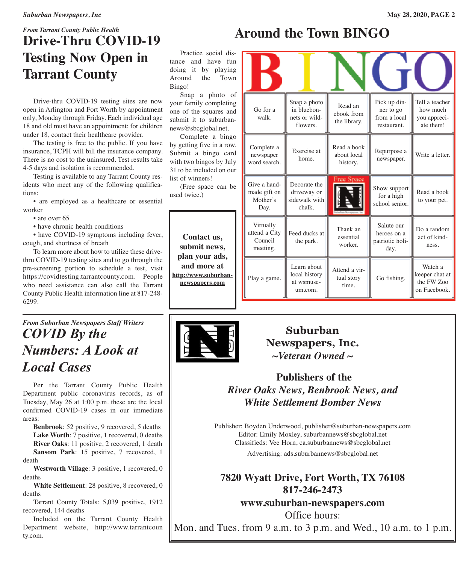## *From Tarrant County Public Health* **Drive-Thru COVID-19 Testing Now Open in Tarrant County**

 Drive-thru COVID-19 testing sites are now open in Arlington and Fort Worth by appointment only, Monday through Friday. Each individual age 18 and old must have an appointment; for children under 18, contact their healthcare provider.

 The testing is free to the public. If you have insurance, TCPH will bill the insurance company. There is no cost to the uninsured. Test results take 4-5 days and isolation is recommended.

 Testing is available to any Tarrant County residents who meet any of the following qualifications:

 • are employed as a healthcare or essential worker

• are over 65

• have chronic health conditions

• have COVID-19 symptoms including fever, cough, and shortness of breath

 To learn more about how to utilize these drivethru COVID-19 testing sites and to go through the pre-screening portion to schedule a test, visit https://covidtesting.tarrantcounty.com. People who need assistance can also call the Tarrant County Public Health information line at 817-248- 6299.

## *From Suburban Newspapers Staff Writers COVID By the Numbers: A Look at Local Cases*

 Per the Tarrant County Public Health Department public coronavirus records, as of Tuesday, May 26 at 1:00 p.m. these are the local confirmed COVID-19 cases in our immediate areas:

 **Benbrook**: 52 positive, 9 recovered, 5 deaths **Lake Worth**: 7 positive, 1 recovered, 0 deaths **River Oaks**: 11 positive, 2 recovered, 1 death **Sansom Park**: 15 positive, 7 recovered, 1 death

 **Westworth Village**: 3 positive, 1 recovered, 0 deaths

 **White Settlement**: 28 positive, 8 recovered, 0 deaths

 Tarrant County Totals: 5,039 positive, 1912 recovered, 144 deaths

 Included on the Tarrant County Health Department website, http://www.tarrantcoun ty.com.

# **Around the Town BINGO**

Practice social d tance and have f doing it by playing Around the Town Bingo!

Snap a photo your family completi one of the squares and submit it to suburba news@sbcglobal.net.

Complete a bing by getting five in a row. Submit a bingo can with two bingos by Ju 31 to be included on o list of winners!

(Free space can used twice.)

**Contact us, submit news, plan your ads, and more at [http://www.suburban](http://www.suburban-newspapers.com)[newspapers.com](http://www.suburban-newspapers.com)**



**Suburban Newspapers, Inc.** *~Veteran Owned ~*

## **Publishers of the** *River Oaks News, Benbrook News, and White Settlement Bomber News*

Publisher: Boyden Underwood, publisher@suburban-newspapers.com Editor: Emily Moxley, suburbannews@sbcglobal.net Classifieds: Vee Horn, ca.suburbannews@sbcglobal.net Advertising: ads.suburbannews@sbcglobal.net

## **7820 Wyatt Drive, Fort Worth, TX 76108 817-246-2473**

**www.suburban-newspapers.com**

Office hours: Mon. and Tues. from 9 a.m. to 3 p.m. and Wed., 10 a.m. to 1 p.m.

| is-<br>un<br>ng<br>vn                     |                                                   |                                                          |                                        |                                                          |                                                         |
|-------------------------------------------|---------------------------------------------------|----------------------------------------------------------|----------------------------------------|----------------------------------------------------------|---------------------------------------------------------|
| of<br>ng<br>nd<br>n-                      | Go for a<br>walk.                                 | Snap a photo<br>in bluebon-<br>nets or wild-<br>flowers. | Read an<br>ebook from<br>the library.  | Pick up din-<br>ner to go<br>from a local<br>restaurant. | Tell a teacher<br>how much<br>you appreci-<br>ate them! |
| $\overline{g}$ O<br>W.<br>rd<br>ılу<br>ur | Complete a<br>newspaper<br>word search.           | Exercise at<br>home.                                     | Read a book<br>about local<br>history. | Repurpose a<br>newspaper.                                | Write a letter.                                         |
| be                                        | Give a hand-<br>made gift on<br>Mother's<br>Day.  | Decorate the<br>driveway or<br>sidewalk with<br>chalk.   | <b>Free Space</b>                      | Show support<br>for a high<br>school senior.             | Read a book<br>to your pet.                             |
|                                           | Virtually<br>attend a City<br>Council<br>meeting. | Feed ducks at<br>the park.                               | Thank an<br>essential<br>worker.       | Salute our<br>heroes on a<br>patriotic holi-<br>day.     | Do a random<br>act of kind-<br>ness.                    |
|                                           | Play a game.                                      | Learn about<br>local history<br>at wsmuse-<br>um.com.    | Attend a vir-<br>tual story<br>time.   | Go fishing.                                              | Watch a<br>keeper chat at<br>the FW Zoo<br>on Facebook. |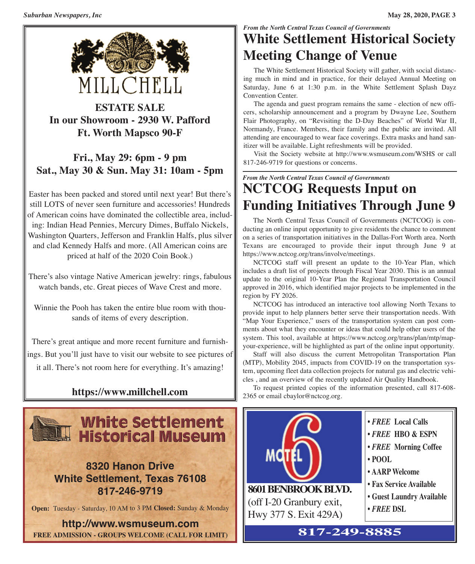

**ESTATE SALE In our Showroom - 2930 W. Pafford Ft. Worth Mapsco 90-F**

## **Fri., May 29: 6pm - 9 pm Sat., May 30 & Sun. May 31: 10am - 5pm**

Easter has been packed and stored until next year! But there's still LOTS of never seen furniture and accessories! Hundreds of American coins have dominated the collectible area, including: Indian Head Pennies, Mercury Dimes, Buffalo Nickels, Washington Quarters, Jefferson and Franklin Halfs, plus silver and clad Kennedy Halfs and more. (All American coins are priced at half of the 2020 Coin Book.)

There's also vintage Native American jewelry: rings, fabulous watch bands, etc. Great pieces of Wave Crest and more.

Winnie the Pooh has taken the entire blue room with thousands of items of every description.

There's great antique and more recent furniture and furnishings. But you'll just have to visit our website to see pictures of it all. There's not room here for everything. It's amazing!

## **https://www.millchell.com**



**8320 Hanon Drive White Settlement, Texas 76108 817-246-9719**

**Open:** Tuesday - Saturday, 10 AM to 3 PM **Closed:** Sunday & Monday

**http://www.wsmuseum.com FREE ADMISSION - GROUPS WELCOME (CALL FOR LIMIT)**

## *From the North Central Texas Council of Governments* **White Settlement Historical Society Meeting Change of Venue**

 The White Settlement Historical Society will gather, with social distancing much in mind and in practice, for their delayed Annual Meeting on Saturday, June 6 at 1:30 p.m. in the White Settlement Splash Dayz Convention Center.

 The agenda and guest program remains the same - election of new officers, scholarship announcement and a program by Dwayne Lee, Southern Flair Photography, on "Revisiting the D-Day Beaches" of World War II, Normandy, France. Members, their family and the public are invited. All attending are encouraged to wear face coverings. Extra masks and hand sanitizer will be available. Light refreshments will be provided.

 Visit the Society website at http://www.wsmuseum.com/WSHS or call 817-246-9719 for questions or concerns.

*From the North Central Texas Council of Governments*

# **NCTCOG Requests Input on Funding Initiatives Through June 9**

 The North Central Texas Council of Governments (NCTCOG) is conducting an online input opportunity to give residents the chance to comment on a series of transportation initiatives in the Dallas-Fort Worth area. North Texans are encouraged to provide their input through June 9 at https://www.nctcog.org/trans/involve/meetings.

 NCTCOG staff will present an update to the 10-Year Plan, which includes a draft list of projects through Fiscal Year 2030. This is an annual update to the original 10-Year Plan the Regional Transportation Council approved in 2016, which identified major projects to be implemented in the region by FY 2026.

 NCTCOG has introduced an interactive tool allowing North Texans to provide input to help planners better serve their transportation needs. With "Map Your Experience," users of the transportation system can post comments about what they encounter or ideas that could help other users of the system. This tool, available at https://www.nctcog.org/trans/plan/mtp/mapyour-experience, will be highlighted as part of the online input opportunity.

 Staff will also discuss the current Metropolitan Transportation Plan (MTP), Mobility 2045, impacts from COVID-19 on the transportation system, upcoming fleet data collection projects for natural gas and electric vehicles , and an overview of the recently updated Air Quality Handbook.

 To request printed copies of the information presented, call 817-608- 2365 or email cbaylor@nctcog.org.



| $\cdot$ FREE Local Calls |  |
|--------------------------|--|
|--------------------------|--|

- **•** *FREE* **HBO & ESPN**
- **•** *FREE* **Morning Coffee**
- **• POOL**
- **• AARP Welcome**
- **• Fax Service Available**
- **• Guest Laundry Available**
- **•** *FREE* **DSL**

**817-249-8885**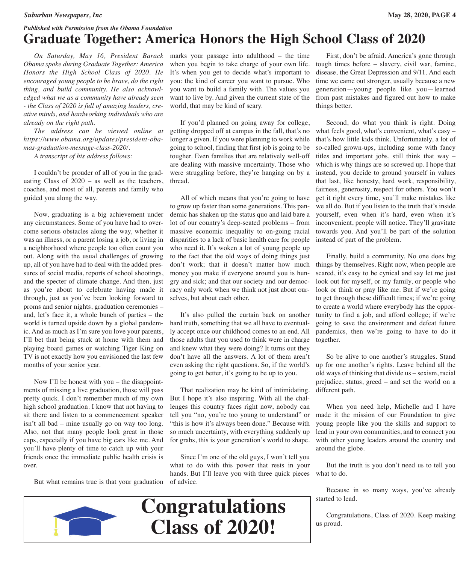#### *Published with Permission from the Obama Foundation* **Graduate Together: America Honors the High School Class of 2020**

 *On Saturday, May 16, President Barack Obama spoke during Graduate Together: America Honors the High School Class of 2020. He encouraged young people to be brave, do the right thing, and build community. He also acknowledged what we as a community have already seen - the Class of 2020 is full of amazing leaders, creative minds, and hardworking individuals who are already on the right path.*

 *The address can be viewed online at https://www.obama.org/updates/president-obamas-graduation-message-class-2020/.*

 *A transcript of his address follows:*

 I couldn't be prouder of all of you in the graduating Class of  $2020 - as$  well as the teachers, coaches, and most of all, parents and family who guided you along the way.

 Now, graduating is a big achievement under any circumstances. Some of you have had to overcome serious obstacles along the way, whether it was an illness, or a parent losing a job, or living in a neighborhood where people too often count you out. Along with the usual challenges of growing up, all of you have had to deal with the added pressures of social media, reports of school shootings, and the specter of climate change. And then, just as you're about to celebrate having made it through, just as you've been looking forward to proms and senior nights, graduation ceremonies – and, let's face it, a whole bunch of parties – the world is turned upside down by a global pandemic. And as much as I'm sure you love your parents, I'll bet that being stuck at home with them and playing board games or watching Tiger King on TV is not exactly how you envisioned the last few months of your senior year.

 Now I'll be honest with you – the disappointments of missing a live graduation, those will pass pretty quick. I don't remember much of my own high school graduation. I know that not having to sit there and listen to a commencement speaker isn't all bad – mine usually go on way too long. Also, not that many people look great in those caps, especially if you have big ears like me. And you'll have plenty of time to catch up with your friends once the immediate public health crisis is over.

But what remains true is that your graduation

marks your passage into adulthood – the time when you begin to take charge of your own life. It's when you get to decide what's important to you: the kind of career you want to pursue. Who you want to build a family with. The values you want to live by. And given the current state of the world, that may be kind of scary.

 If you'd planned on going away for college, getting dropped off at campus in the fall, that's no longer a given. If you were planning to work while going to school, finding that first job is going to be tougher. Even families that are relatively well-off are dealing with massive uncertainty. Those who were struggling before, they're hanging on by a thread.

 All of which means that you're going to have to grow up faster than some generations. This pandemic has shaken up the status quo and laid bare a lot of our country's deep-seated problems – from massive economic inequality to on-going racial disparities to a lack of basic health care for people who need it. It's woken a lot of young people up to the fact that the old ways of doing things just don't work; that it doesn't matter how much money you make if everyone around you is hungry and sick; and that our society and our democracy only work when we think not just about ourselves, but about each other.

 It's also pulled the curtain back on another hard truth, something that we all have to eventually accept once our childhood comes to an end. All those adults that you used to think were in charge and knew what they were doing? It turns out they don't have all the answers. A lot of them aren't even asking the right questions. So, if the world's going to get better, it's going to be up to you.

 That realization may be kind of intimidating. But I hope it's also inspiring. With all the challenges this country faces right now, nobody can tell you "no, you're too young to understand" or "this is how it's always been done." Because with so much uncertainty, with everything suddenly up for grabs, this is your generation's world to shape.

 Since I'm one of the old guys, I won't tell you what to do with this power that rests in your hands. But I'll leave you with three quick pieces

 First, don't be afraid. America's gone through tough times before – slavery, civil war, famine, disease, the Great Depression and 9/11. And each time we came out stronger, usually because a new generation—young people like you—learned from past mistakes and figured out how to make things better.

 Second, do what you think is right. Doing what feels good, what's convenient, what's easy – that's how little kids think. Unfortunately, a lot of so-called grown-ups, including some with fancy titles and important jobs, still think that way – which is why things are so screwed up. I hope that instead, you decide to ground yourself in values that last, like honesty, hard work, responsibility, fairness, generosity, respect for others. You won't get it right every time, you'll make mistakes like we all do. But if you listen to the truth that's inside yourself, even when it's hard, even when it's inconvenient, people will notice. They'll gravitate towards you. And you'll be part of the solution instead of part of the problem.

 Finally, build a community. No one does big things by themselves. Right now, when people are scared, it's easy to be cynical and say let me just look out for myself, or my family, or people who look or think or pray like me. But if we're going to get through these difficult times; if we're going to create a world where everybody has the opportunity to find a job, and afford college; if we're going to save the environment and defeat future pandemics, then we're going to have to do it together.

 So be alive to one another's struggles. Stand up for one another's rights. Leave behind all the old ways of thinking that divide us – sexism, racial prejudice, status, greed – and set the world on a different path.

 When you need help, Michelle and I have made it the mission of our Foundation to give young people like you the skills and support to lead in your own communities, and to connect you with other young leaders around the country and around the globe.

 But the truth is you don't need us to tell you what to do.

 Because in so many ways, you've already started to lead.

 Congratulations, Class of 2020. Keep making us proud.



# of advice.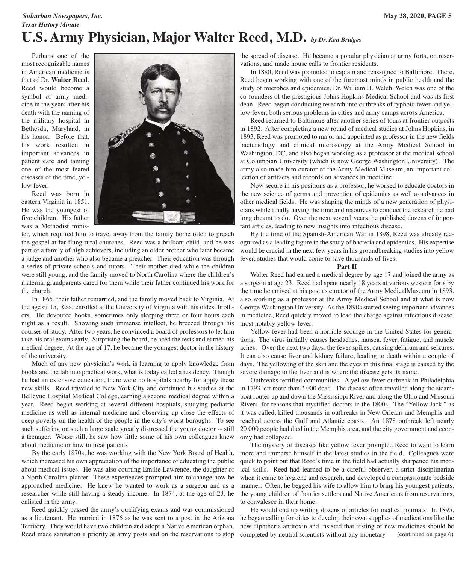#### *Suburban Newspapers, Inc.* **May 28, 2020, PAGE 5** *Texas History Minute* **U.S. Army Physician, Major Walter Reed, M.D.** *by Dr. Ken Bridges*

 Perhaps one of the most recognizable names in American medicine is that of Dr. **Walter Reed**. Reed would become a symbol of army medicine in the years after his death with the naming of the military hospital in Bethesda, Maryland, in his honor. Before that, his work resulted in important advances in patient care and taming one of the most feared diseases of the time, yellow fever.

 Reed was born in eastern Virginia in 1851. He was the youngest of five children. His father was a Methodist minis-



maternal grandparents cared for them while their father continued his work for a surgeon at age 23. Reed had spent nearly 18 years at various western forts by ter, which required him to travel away from the family home often to preach the gospel at far-flung rural churches. Reed was a brilliant child, and he was part of a family of high achievers, including an older brother who later became a judge and another who also became a preacher. Their education was through a series of private schools and tutors. Their mother died while the children were still young, and the family moved to North Carolina where the children's the church.

 In 1865, their father remarried, and the family moved back to Virginia. At the age of 15, Reed enrolled at the University of Virginia with his oldest brothers. He devoured books, sometimes only sleeping three or four hours each night as a result. Showing such immense intellect, he breezed through his courses of study. After two years, he convinced a board of professors to let him take his oral exams early. Surprising the board, he aced the tests and earned his medical degree. At the age of 17, he became the youngest doctor in the history of the university.

 Much of any new physician's work is learning to apply knowledge from books and the lab into practical work, what is today called a residency. Though he had an extensive education, there were no hospitals nearby for apply these new skills. Reed traveled to New York City and continued his studies at the Bellevue Hospital Medical College, earning a second medical degree within a year. Reed began working at several different hospitals, studying pediatric medicine as well as internal medicine and observing up close the effects of deep poverty on the health of the people in the city's worst boroughs. To see such suffering on such a large scale greatly distressed the young doctor -- still a teenager. Worse still, he saw how little some of his own colleagues knew about medicine or how to treat patients.

 By the early 1870s, he was working with the New York Board of Health, which increased his own appreciation of the importance of educating the public about medical issues. He was also courting Emilie Lawrence, the daughter of a North Carolina planter. These experiences prompted him to change how he approached medicine. He knew he wanted to work as a surgeon and as a researcher while still having a steady income. In 1874, at the age of 23, he enlisted in the army.

 Reed quickly passed the army's qualifying exams and was commissioned as a lieutenant. He married in 1876 as he was sent to a post in the Arizona Territory. They would have two children and adopt a Native American orphan.

the spread of disease. He became a popular physician at army forts, on reservations, and made house calls to frontier residents.

 In 1880, Reed was promoted to captain and reassigned to Baltimore. There, Reed began working with one of the foremost minds in public health and the study of microbes and epidemics, Dr. William H. Welch. Welch was one of the co-founders of the prestigious Johns Hopkins Medical School and was its first dean. Reed began conducting research into outbreaks of typhoid fever and yellow fever, both serious problems in cities and army camps across America.

 Reed returned to Baltimore after another series of tours at frontier outposts in 1892. After completing a new round of medical studies at Johns Hopkins, in 1893, Reed was promoted to major and appointed as professor in the new fields bacteriology and clinical microscopy at the Army Medical School in Washington, DC, and also began working as a professor at the medical school at Columbian University (which is now George Washington University). The army also made him curator of the Army Medical Museum, an important collection of artifacts and records on advances in medicine.

 Now secure in his positions as a professor, he worked to educate doctors in the new science of germs and prevention of epidemics as well as advances in other medical fields. He was shaping the minds of a new generation of physicians while finally having the time and resources to conduct the research he had long dreamt to do. Over the next several years, he published dozens of important articles, leading to new insights into infectious disease.

 By the time of the Spanish-American War in 1898, Reed was already recognized as a leading figure in the study of bacteria and epidemics. His expertise would be crucial in the next few years in his groundbreaking studies into yellow fever, studies that would come to save thousands of lives.

#### **Part II**

 Walter Reed had earned a medical degree by age 17 and joined the army as the time he arrived at his post as curator of the Army MedicalMuseum in 1893, also working as a professor at the Army Medical School and at what is now George Washington University. As the 1890s started seeing important advances in medicine, Reed quickly moved to lead the charge against infectious disease, most notably yellow fever.

 Yellow fever had been a horrible scourge in the United States for generations. The virus initially causes headaches, nausea, fever, fatigue, and muscle aches. Over the next two days, the fever spikes, causing delirium and seizures. It can also cause liver and kidney failure, leading to death within a couple of days. The yellowing of the skin and the eyes in this final stage is caused by the severe damage to the liver and is where the disease gets its name.

 Outbreaks terrified communities. A yellow fever outbreak in Philadelphia in 1793 left more than 3,000 dead. The disease often travelled along the steamboat routes up and down the Mississippi River and along the Ohio and Missouri Rivers, for reasons that mystified doctors in the 1800s. The "Yellow Jack," as it was called, killed thousands in outbreaks in New Orleans and Memphis and reached across the Gulf and Atlantic coasts. An 1878 outbreak left nearly 20,000 people had died in the Memphis area, and the city government and economy had collapsed.

 The mystery of diseases like yellow fever prompted Reed to want to learn more and immerse himself in the latest studies in the field. Colleagues were quick to point out that Reed's time in the field had actually sharpened his medical skills. Reed had learned to be a careful observer, a strict disciplinarian when it came to hygiene and research, and developed a compassionate bedside manner. Often, he begged his wife to allow him to bring his youngest patients, the young children of frontier settlers and Native Americans from reservations, to convalesce in their home.

 He would end up writing dozens of articles for medical journals. In 1895, he began calling for cities to develop their own supplies of medications like the new diphtheria antitoxin and insisted that testing of new medicines should be completed by neutral scientists without any monetary Reed made sanitation a priority at army posts and on the reservations to stop completed by neutral scientists without any monetary (continued on page 6)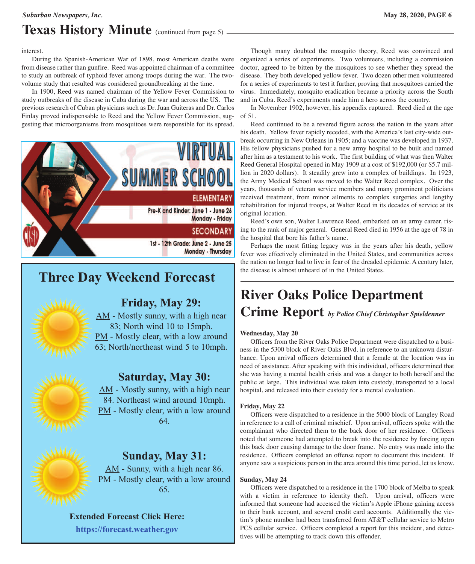### *Suburban Newspapers, Inc.* **May 28, 2020, PAGE 6**

## **Texas History Minute** (continued from page 5)

interest.

 During the Spanish-American War of 1898, most American deaths were from disease rather than gunfire. Reed was appointed chairman of a committee to study an outbreak of typhoid fever among troops during the war. The twovolume study that resulted was considered groundbreaking at the time.

 In 1900, Reed was named chairman of the Yellow Fever Commission to study outbreaks of the disease in Cuba during the war and across the US. The previous research of Cuban physicians such as Dr. Juan Guiteras and Dr. Carlos Finlay proved indispensable to Reed and the Yellow Fever Commission, suggesting that microorganisms from mosquitoes were responsible for its spread.



## **Three Day Weekend Forecast**



## **Friday, May 29:**

AM - Mostly sunny, with a high near 83; North wind 10 to 15mph. PM - Mostly clear, with a low around 63; North/northeast wind 5 to 10mph.



## **Saturday, May 30:**

AM - Mostly sunny, with a high near 84. Northeast wind around 10mph. PM - Mostly clear, with a low around 64.



## **Sunday, May 31:**

AM - Sunny, with a high near 86. PM - Mostly clear, with a low around 65.

#### **Extended Forecast Click Here:**

**<https://forecast.weather.gov>**

 Though many doubted the mosquito theory, Reed was convinced and organized a series of experiments. Two volunteers, including a commission doctor, agreed to be bitten by the mosquitoes to see whether they spread the disease. They both developed yellow fever. Two dozen other men volunteered for a series of experiments to test it further, proving that mosquitoes carried the virus. Immediately, mosquito eradication became a priority across the South and in Cuba. Reed's experiments made him a hero across the country.

 In November 1902, however, his appendix ruptured. Reed died at the age of 51.

 Reed continued to be a revered figure across the nation in the years after his death. Yellow fever rapidly receded, with the America's last city-wide outbreak occurring in New Orleans in 1905; and a vaccine was developed in 1937. His fellow physicians pushed for a new army hospital to be built and named after him as a testament to his work. The first building of what was then Walter Reed General Hospital opened in May 1909 at a cost of \$192,000 (or \$5.7 million in 2020 dollars). It steadily grew into a complex of buildings. In 1923, the Army Medical School was moved to the Walter Reed complex. Over the years, thousands of veteran service members and many prominent politicians received treatment, from minor ailments to complex surgeries and lengthy rehabilitation for injured troops, at Walter Reed in its decades of service at its original location.

 Reed's own son, Walter Lawrence Reed, embarked on an army career, rising to the rank of major general. General Reed died in 1956 at the age of 78 in the hospital that bore his father's name.

 Perhaps the most fitting legacy was in the years after his death, yellow fever was effectively eliminated in the United States, and communities across the nation no longer had to live in fear of the dreaded epidemic. A century later, the disease is almost unheard of in the United States.

## **River Oaks Police Department Crime Report** *by Police Chief Christopher Spieldenner*

#### **Wednesday, May 20**

 Officers from the River Oaks Police Department were dispatched to a business in the 5300 block of River Oaks Blvd. in reference to an unknown disturbance. Upon arrival officers determined that a female at the location was in need of assistance. After speaking with this individual, officers determined that she was having a mental health crisis and was a danger to both herself and the public at large. This individual was taken into custody, transported to a local hospital, and released into their custody for a mental evaluation.

#### **Friday, May 22**

 Officers were dispatched to a residence in the 5000 block of Langley Road in reference to a call of criminal mischief. Upon arrival, officers spoke with the complainant who directed them to the back door of her residence. Officers noted that someone had attempted to break into the residence by forcing open this back door causing damage to the door frame. No entry was made into the residence. Officers completed an offense report to document this incident. If anyone saw a suspicious person in the area around this time period, let us know.

#### **Sunday, May 24**

 Officers were dispatched to a residence in the 1700 block of Melba to speak with a victim in reference to identity theft. Upon arrival, officers were informed that someone had accessed the victim's Apple iPhone gaining access to their bank account, and several credit card accounts. Additionally the victim's phone number had been transferred from AT&T cellular service to Metro PCS cellular service. Officers completed a report for this incident, and detectives will be attempting to track down this offender.